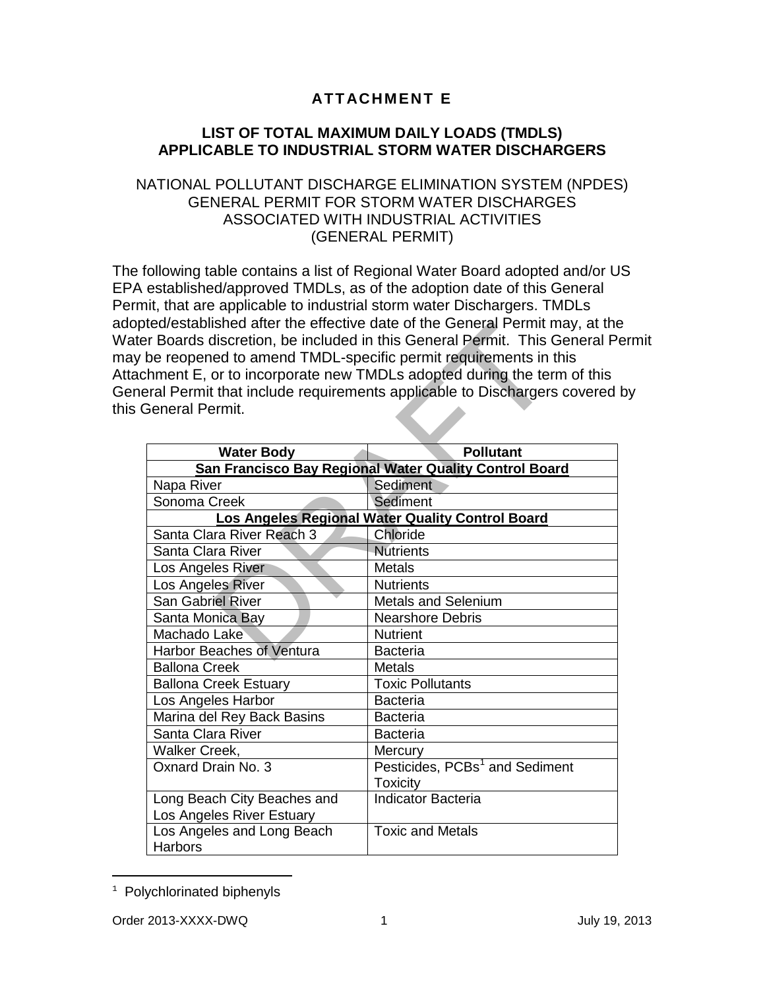## **ATTACHMENT E**

## **LIST OF TOTAL MAXIMUM DAILY LOADS (TMDLS) APPLICABLE TO INDUSTRIAL STORM WATER DISCHARGERS**

## NATIONAL POLLUTANT DISCHARGE ELIMINATION SYSTEM (NPDES) GENERAL PERMIT FOR STORM WATER DISCHARGES ASSOCIATED WITH INDUSTRIAL ACTIVITIES (GENERAL PERMIT)

The following table contains a list of Regional Water Board adopted and/or US EPA established/approved TMDLs, as of the adoption date of this General Permit, that are applicable to industrial storm water Dischargers. TMDLs adopted/established after the effective date of the General Permit may, at the Water Boards discretion, be included in this General Permit. This General Permit may be reopened to amend TMDL-specific permit requirements in this Attachment E, or to incorporate new TMDLs adopted during the term of this General Permit that include requirements applicable to Dischargers covered by this General Permit.

| be reopened to amend TMDL-specific permit requirements in this | er Boards discretion, be included in this General Permit. This General P<br>chment E, or to incorporate new TMDLs adopted during the term of this |
|----------------------------------------------------------------|---------------------------------------------------------------------------------------------------------------------------------------------------|
|                                                                | eral Permit that include requirements applicable to Dischargers covered                                                                           |
| <b>General Permit.</b>                                         |                                                                                                                                                   |
|                                                                |                                                                                                                                                   |
| <b>Water Body</b>                                              | <b>Pollutant</b>                                                                                                                                  |
| San Francisco Bay Regional Water Quality Control Board         |                                                                                                                                                   |
| Napa River                                                     | Sediment                                                                                                                                          |
| Sonoma Creek                                                   | Sediment                                                                                                                                          |
| Los Angeles Regional Water Quality Control Board               |                                                                                                                                                   |
| Santa Clara River Reach 3                                      | Chloride                                                                                                                                          |
| Santa Clara River                                              | <b>Nutrients</b>                                                                                                                                  |
| Los Angeles River                                              | <b>Metals</b>                                                                                                                                     |
| Los Angeles River                                              | <b>Nutrients</b>                                                                                                                                  |
| <b>San Gabriel River</b>                                       | <b>Metals and Selenium</b>                                                                                                                        |
| Santa Monica Bay                                               | <b>Nearshore Debris</b>                                                                                                                           |
| Machado Lake                                                   | <b>Nutrient</b>                                                                                                                                   |
| <b>Harbor Beaches of Ventura</b>                               | <b>Bacteria</b>                                                                                                                                   |
| <b>Ballona Creek</b>                                           | <b>Metals</b>                                                                                                                                     |
| <b>Ballona Creek Estuary</b>                                   | <b>Toxic Pollutants</b>                                                                                                                           |
| Los Angeles Harbor                                             | <b>Bacteria</b>                                                                                                                                   |
| Marina del Rey Back Basins                                     | <b>Bacteria</b>                                                                                                                                   |
| Santa Clara River                                              | <b>Bacteria</b>                                                                                                                                   |
| Walker Creek,                                                  | Mercury                                                                                                                                           |
| Oxnard Drain No. 3                                             | Pesticides, PCBs <sup>1</sup> and Sediment                                                                                                        |
|                                                                | <b>Toxicity</b>                                                                                                                                   |
| Long Beach City Beaches and                                    | <b>Indicator Bacteria</b>                                                                                                                         |
| Los Angeles River Estuary                                      |                                                                                                                                                   |
| Los Angeles and Long Beach                                     | <b>Toxic and Metals</b>                                                                                                                           |
| <b>Harbors</b>                                                 |                                                                                                                                                   |

<span id="page-0-0"></span>Ĩ. <sup>1</sup> Polychlorinated biphenyls